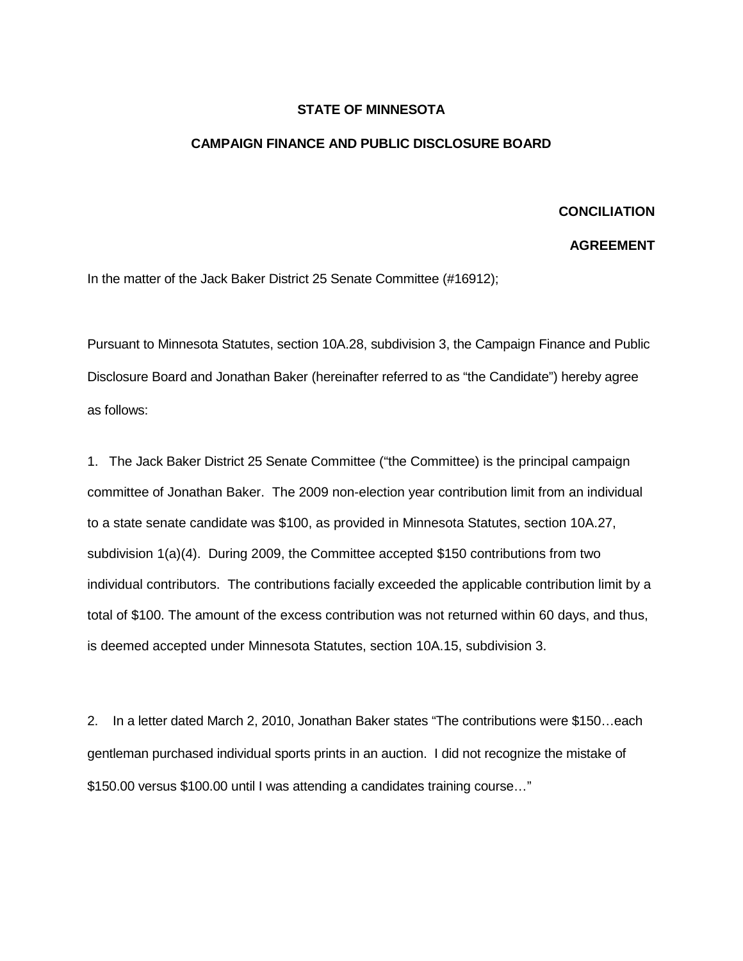## **STATE OF MINNESOTA**

## **CAMPAIGN FINANCE AND PUBLIC DISCLOSURE BOARD**

## **CONCILIATION**

## **AGREEMENT**

In the matter of the Jack Baker District 25 Senate Committee (#16912);

Pursuant to Minnesota Statutes, section 10A.28, subdivision 3, the Campaign Finance and Public Disclosure Board and Jonathan Baker (hereinafter referred to as "the Candidate") hereby agree as follows:

1. The Jack Baker District 25 Senate Committee ("the Committee) is the principal campaign committee of Jonathan Baker. The 2009 non-election year contribution limit from an individual to a state senate candidate was \$100, as provided in Minnesota Statutes, section 10A.27, subdivision 1(a)(4). During 2009, the Committee accepted \$150 contributions from two individual contributors. The contributions facially exceeded the applicable contribution limit by a total of \$100. The amount of the excess contribution was not returned within 60 days, and thus, is deemed accepted under Minnesota Statutes, section 10A.15, subdivision 3.

2. In a letter dated March 2, 2010, Jonathan Baker states "The contributions were \$150…each gentleman purchased individual sports prints in an auction. I did not recognize the mistake of \$150.00 versus \$100.00 until I was attending a candidates training course…"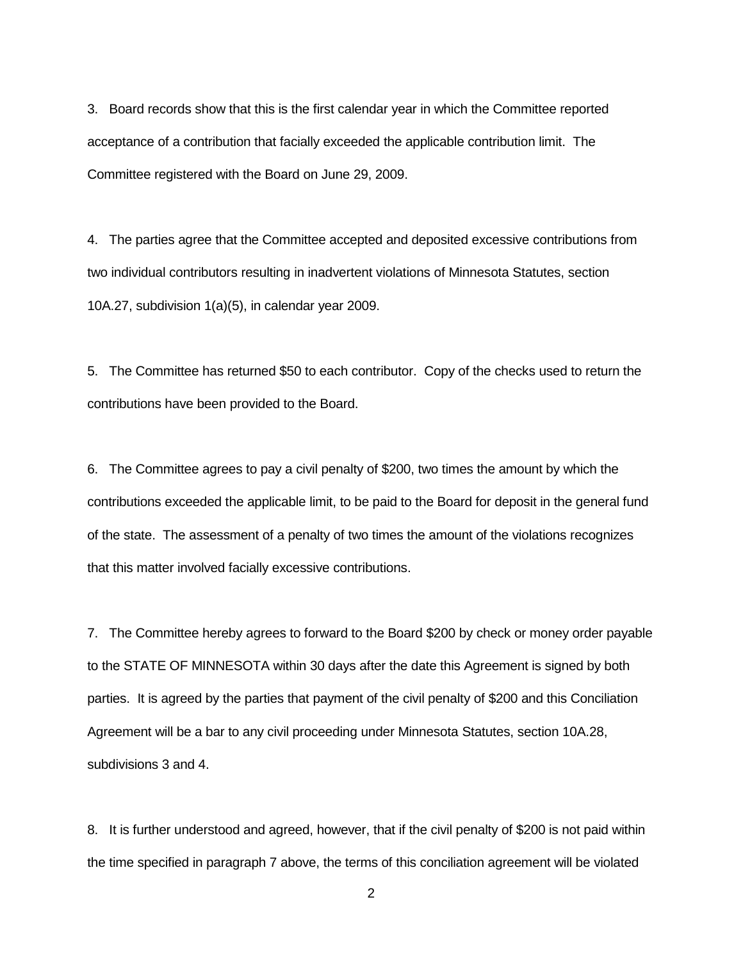3. Board records show that this is the first calendar year in which the Committee reported acceptance of a contribution that facially exceeded the applicable contribution limit. The Committee registered with the Board on June 29, 2009.

4. The parties agree that the Committee accepted and deposited excessive contributions from two individual contributors resulting in inadvertent violations of Minnesota Statutes, section 10A.27, subdivision 1(a)(5), in calendar year 2009.

5. The Committee has returned \$50 to each contributor. Copy of the checks used to return the contributions have been provided to the Board.

6. The Committee agrees to pay a civil penalty of \$200, two times the amount by which the contributions exceeded the applicable limit, to be paid to the Board for deposit in the general fund of the state. The assessment of a penalty of two times the amount of the violations recognizes that this matter involved facially excessive contributions.

7. The Committee hereby agrees to forward to the Board \$200 by check or money order payable to the STATE OF MINNESOTA within 30 days after the date this Agreement is signed by both parties. It is agreed by the parties that payment of the civil penalty of \$200 and this Conciliation Agreement will be a bar to any civil proceeding under Minnesota Statutes, section 10A.28, subdivisions 3 and 4.

8. It is further understood and agreed, however, that if the civil penalty of \$200 is not paid within the time specified in paragraph 7 above, the terms of this conciliation agreement will be violated